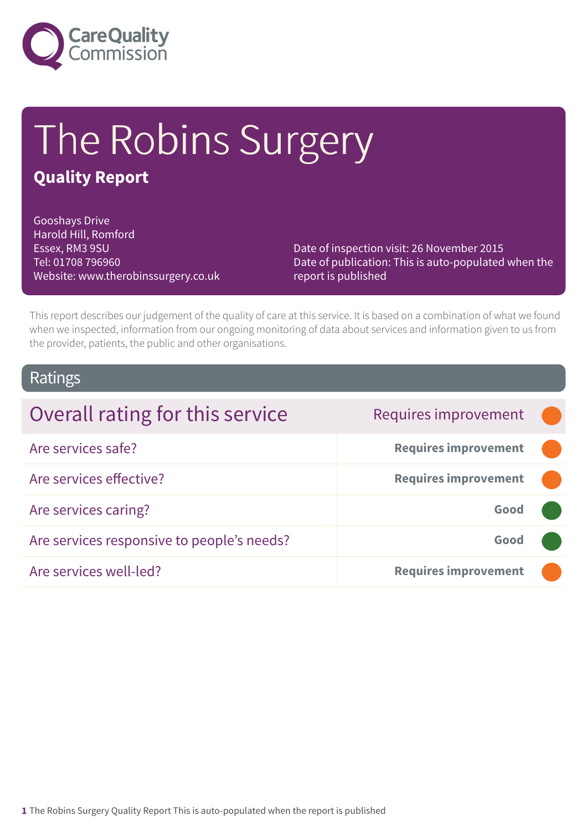

# The Robins Surgery

### **Quality Report**

Gooshays Drive Harold Hill, Romford Essex, RM3 9SU Tel: 01708 796960 Website: www.therobinssurgery.co.uk

Date of inspection visit: 26 November 2015 Date of publication: This is auto-populated when the report is published

This report describes our judgement of the quality of care at this service. It is based on a combination of what we found when we inspected, information from our ongoing monitoring of data about services and information given to us from the provider, patients, the public and other organisations.

### Ratings

| Overall rating for this service            | Requires improvement        |  |
|--------------------------------------------|-----------------------------|--|
| Are services safe?                         | <b>Requires improvement</b> |  |
| Are services effective?                    | <b>Requires improvement</b> |  |
| Are services caring?                       | Good                        |  |
| Are services responsive to people's needs? | Good                        |  |
| Are services well-led?                     | <b>Requires improvement</b> |  |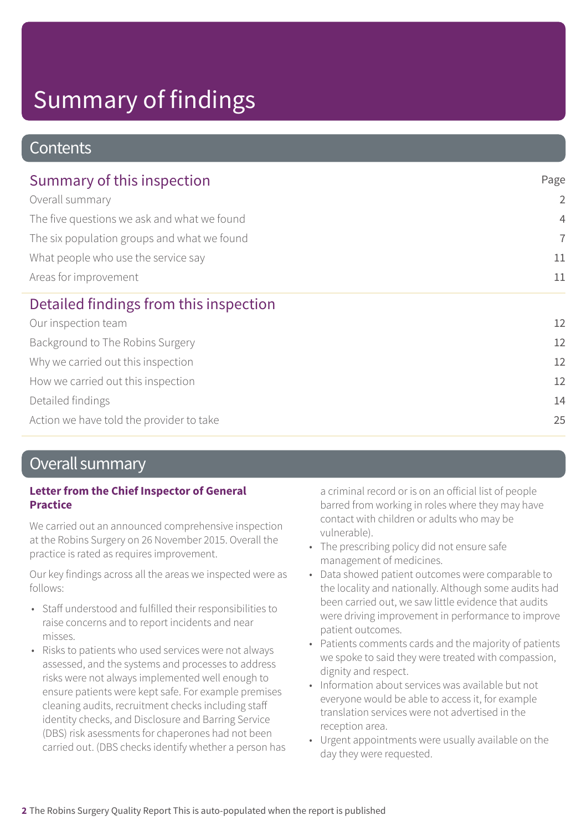### **Contents**

| Summary of this inspection                  | Page           |
|---------------------------------------------|----------------|
| Overall summary                             | $\overline{2}$ |
| The five questions we ask and what we found | $\overline{4}$ |
| The six population groups and what we found | $\overline{7}$ |
| What people who use the service say         | 11             |
| Areas for improvement                       | 11             |
| Detailed findings from this inspection      |                |
| Our inspection team                         | 12             |
| Background to The Robins Surgery            | 12             |
| Why we carried out this inspection          | 12             |
| How we carried out this inspection          | 12             |
| Detailed findings                           | 14             |
| Action we have told the provider to take    | 25             |

### Overall summary

#### **Letter from the Chief Inspector of General Practice**

We carried out an announced comprehensive inspection at the Robins Surgery on 26 November 2015. Overall the practice is rated as requires improvement.

Our key findings across all the areas we inspected were as follows:

- Staff understood and fulfilled their responsibilities to raise concerns and to report incidents and near misses.
- Risks to patients who used services were not always assessed, and the systems and processes to address risks were not always implemented well enough to ensure patients were kept safe. For example premises cleaning audits, recruitment checks including staff identity checks, and Disclosure and Barring Service (DBS) risk asessments for chaperones had not been carried out. (DBS checks identify whether a person has

a criminal record or is on an official list of people barred from working in roles where they may have contact with children or adults who may be vulnerable).

- The prescribing policy did not ensure safe management of medicines.
- Data showed patient outcomes were comparable to the locality and nationally. Although some audits had been carried out, we saw little evidence that audits were driving improvement in performance to improve patient outcomes.
- Patients comments cards and the majority of patients we spoke to said they were treated with compassion, dignity and respect.
- Information about services was available but not everyone would be able to access it, for example translation services were not advertised in the reception area.
- Urgent appointments were usually available on the day they were requested.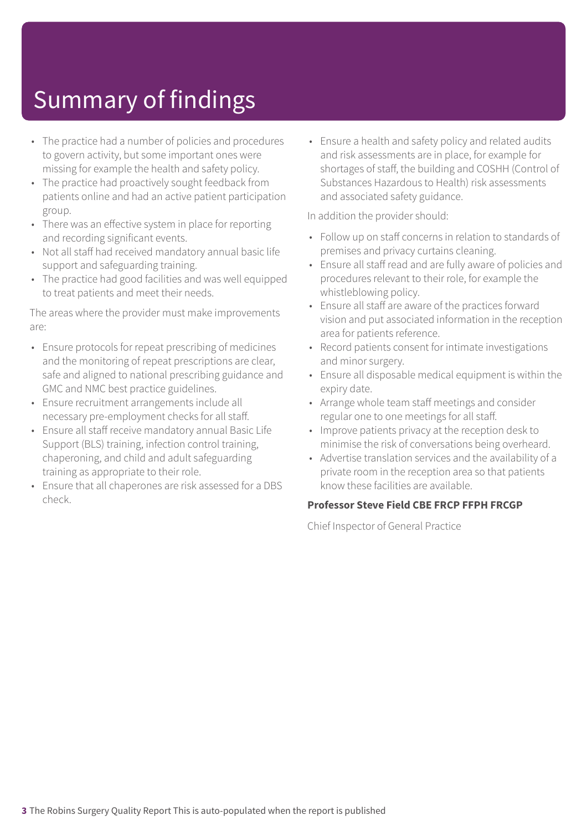- The practice had a number of policies and procedures to govern activity, but some important ones were missing for example the health and safety policy.
- The practice had proactively sought feedback from patients online and had an active patient participation group.
- There was an effective system in place for reporting and recording significant events.
- Not all staff had received mandatory annual basic life support and safeguarding training.
- The practice had good facilities and was well equipped to treat patients and meet their needs.

The areas where the provider must make improvements are:

- Ensure protocols for repeat prescribing of medicines and the monitoring of repeat prescriptions are clear, safe and aligned to national prescribing guidance and GMC and NMC best practice guidelines.
- Ensure recruitment arrangements include all necessary pre-employment checks for all staff.
- Ensure all staff receive mandatory annual Basic Life Support (BLS) training, infection control training, chaperoning, and child and adult safeguarding training as appropriate to their role.
- Ensure that all chaperones are risk assessed for a DBS check.

• Ensure a health and safety policy and related audits and risk assessments are in place, for example for shortages of staff, the building and COSHH (Control of Substances Hazardous to Health) risk assessments and associated safety guidance.

In addition the provider should:

- Follow up on staff concerns in relation to standards of premises and privacy curtains cleaning.
- Ensure all staff read and are fully aware of policies and procedures relevant to their role, for example the whistleblowing policy.
- Ensure all staff are aware of the practices forward vision and put associated information in the reception area for patients reference.
- Record patients consent for intimate investigations and minor surgery.
- Ensure all disposable medical equipment is within the expiry date.
- Arrange whole team staff meetings and consider regular one to one meetings for all staff.
- Improve patients privacy at the reception desk to minimise the risk of conversations being overheard.
- Advertise translation services and the availability of a private room in the reception area so that patients know these facilities are available.

#### **Professor Steve Field CBE FRCP FFPH FRCGP**

Chief Inspector of General Practice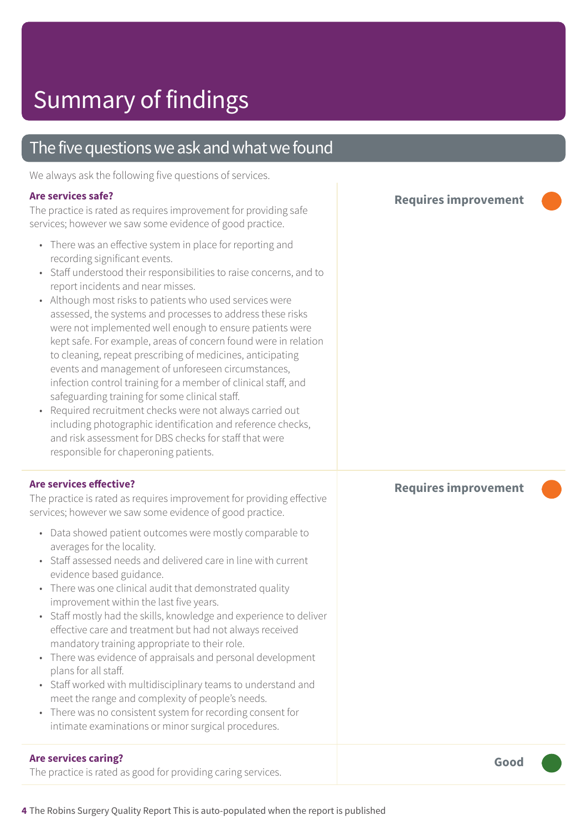### The five questions we ask and what we found

We always ask the following five questions of services.

#### **Are services safe?**

The practice is rated as requires improvement for providing safe services; however we saw some evidence of good practice.

- There was an effective system in place for reporting and recording significant events.
- Staff understood their responsibilities to raise concerns, and to report incidents and near misses.
- Although most risks to patients who used services were assessed, the systems and processes to address these risks were not implemented well enough to ensure patients were kept safe. For example, areas of concern found were in relation to cleaning, repeat prescribing of medicines, anticipating events and management of unforeseen circumstances, infection control training for a member of clinical staff, and safeguarding training for some clinical staff.
- Required recruitment checks were not always carried out including photographic identification and reference checks, and risk assessment for DBS checks for staff that were responsible for chaperoning patients.

#### **Are services effective?**

The practice is rated as requires improvement for providing effective services; however we saw some evidence of good practice.

- Data showed patient outcomes were mostly comparable to averages for the locality.
- Staff assessed needs and delivered care in line with current evidence based guidance.
- There was one clinical audit that demonstrated quality improvement within the last five years.
- Staff mostly had the skills, knowledge and experience to deliver effective care and treatment but had not always received mandatory training appropriate to their role.
- There was evidence of appraisals and personal development plans for all staff.
- Staff worked with multidisciplinary teams to understand and meet the range and complexity of people's needs.
- There was no consistent system for recording consent for intimate examinations or minor surgical procedures.

#### **Are services caring?**

The practice is rated as good for providing caring services.

**Requires improvement –––**

#### **Requires improvement –––**

**Good –––**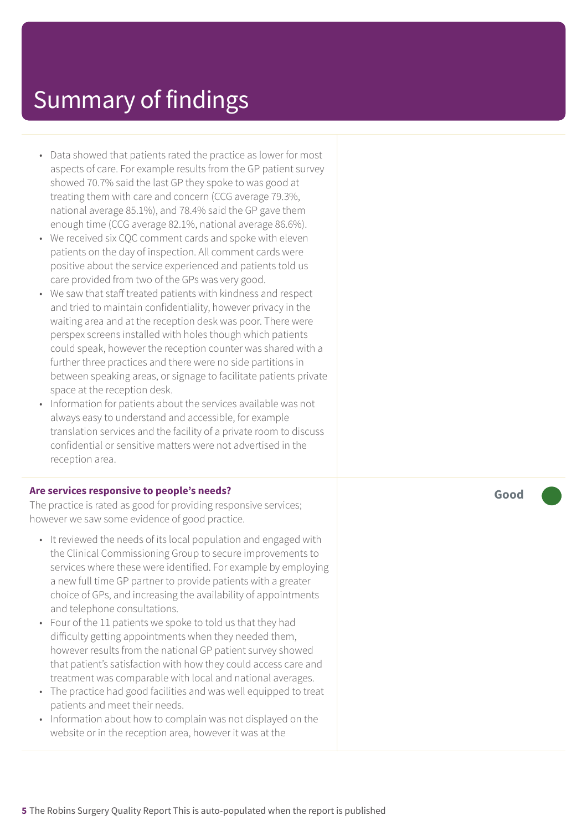- Data showed that patients rated the practice as lower for most aspects of care. For example results from the GP patient survey showed 70.7% said the last GP they spoke to was good at treating them with care and concern (CCG average 79.3%, national average 85.1%), and 78.4% said the GP gave them enough time (CCG average 82.1%, national average 86.6%).
- We received six CQC comment cards and spoke with eleven patients on the day of inspection. All comment cards were positive about the service experienced and patients told us care provided from two of the GPs was very good.
- We saw that staff treated patients with kindness and respect and tried to maintain confidentiality, however privacy in the waiting area and at the reception desk was poor. There were perspex screens installed with holes though which patients could speak, however the reception counter was shared with a further three practices and there were no side partitions in between speaking areas, or signage to facilitate patients private space at the reception desk.
- Information for patients about the services available was not always easy to understand and accessible, for example translation services and the facility of a private room to discuss confidential or sensitive matters were not advertised in the reception area.

#### **Are services responsive to people's needs?**

The practice is rated as good for providing responsive services; however we saw some evidence of good practice.

- It reviewed the needs of its local population and engaged with the Clinical Commissioning Group to secure improvements to services where these were identified. For example by employing a new full time GP partner to provide patients with a greater choice of GPs, and increasing the availability of appointments and telephone consultations.
- Four of the 11 patients we spoke to told us that they had difficulty getting appointments when they needed them, however results from the national GP patient survey showed that patient's satisfaction with how they could access care and treatment was comparable with local and national averages.
- The practice had good facilities and was well equipped to treat patients and meet their needs.
- Information about how to complain was not displayed on the website or in the reception area, however it was at the

**Good –––**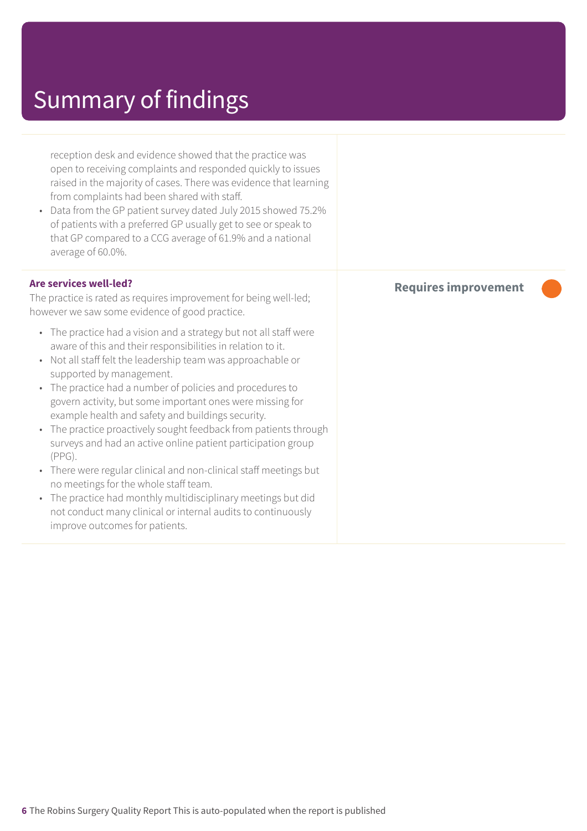reception desk and evidence showed that the practice was open to receiving complaints and responded quickly to issues raised in the majority of cases. There was evidence that learning from complaints had been shared with staff.

• Data from the GP patient survey dated July 2015 showed 75.2% of patients with a preferred GP usually get to see or speak to that GP compared to a CCG average of 61.9% and a national average of 60.0%.

#### **Are services well-led?**

The practice is rated as requires improvement for being well-led; however we saw some evidence of good practice.

- The practice had a vision and a strategy but not all staff were aware of this and their responsibilities in relation to it.
- Not all staff felt the leadership team was approachable or supported by management.
- The practice had a number of policies and procedures to govern activity, but some important ones were missing for example health and safety and buildings security.
- The practice proactively sought feedback from patients through surveys and had an active online patient participation group (PPG).
- There were regular clinical and non-clinical staff meetings but no meetings for the whole staff team.
- The practice had monthly multidisciplinary meetings but did not conduct many clinical or internal audits to continuously improve outcomes for patients.

### **Requires improvement –––**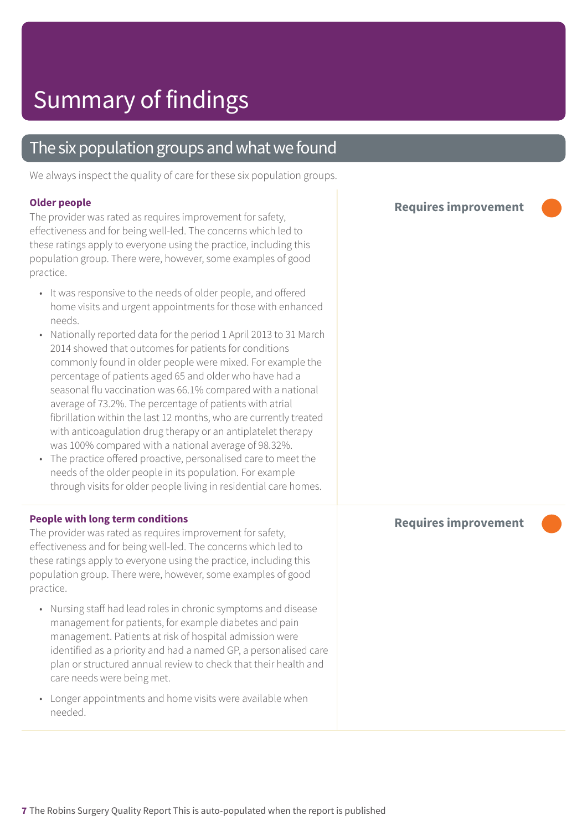### The six population groups and what we found

We always inspect the quality of care for these six population groups.

#### **Older people**

The provider was rated as requires improvement for safety, effectiveness and for being well-led. The concerns which led to these ratings apply to everyone using the practice, including this population group. There were, however, some examples of good practice.

- It was responsive to the needs of older people, and offered home visits and urgent appointments for those with enhanced needs.
- Nationally reported data for the period 1 April 2013 to 31 March 2014 showed that outcomes for patients for conditions commonly found in older people were mixed. For example the percentage of patients aged 65 and older who have had a seasonal flu vaccination was 66.1% compared with a national average of 73.2%. The percentage of patients with atrial fibrillation within the last 12 months, who are currently treated with anticoagulation drug therapy or an antiplatelet therapy was 100% compared with a national average of 98.32%.
- The practice offered proactive, personalised care to meet the needs of the older people in its population. For example through visits for older people living in residential care homes.

#### **People with long term conditions**

The provider was rated as requires improvement for safety, effectiveness and for being well-led. The concerns which led to these ratings apply to everyone using the practice, including this population group. There were, however, some examples of good practice.

- Nursing staff had lead roles in chronic symptoms and disease management for patients, for example diabetes and pain management. Patients at risk of hospital admission were identified as a priority and had a named GP, a personalised care plan or structured annual review to check that their health and care needs were being met.
- Longer appointments and home visits were available when needed.

**Requires improvement –––**

#### **Requires improvement –––**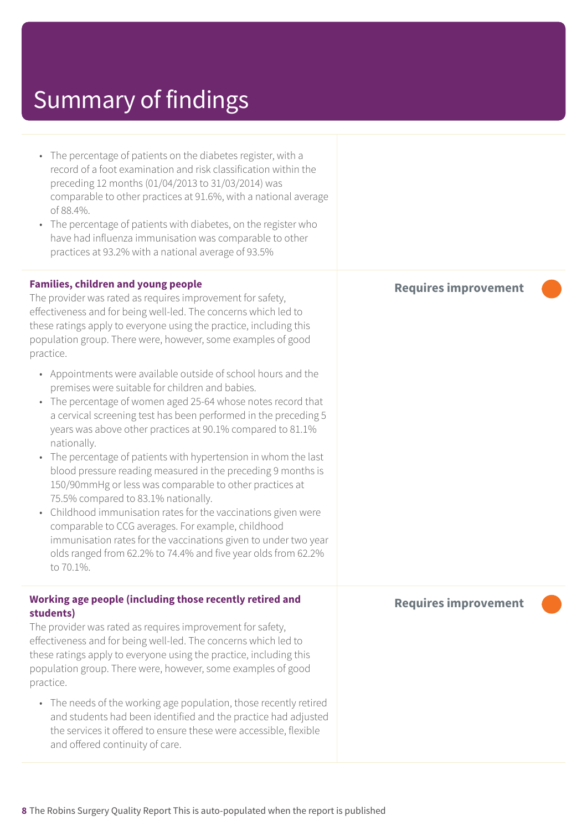| • The percentage of patients on the diabetes register, with a<br>record of a foot examination and risk classification within the<br>preceding 12 months (01/04/2013 to 31/03/2014) was<br>comparable to other practices at 91.6%, with a national average<br>of 88.4%.<br>• The percentage of patients with diabetes, on the register who<br>have had influenza immunisation was comparable to other<br>practices at 93.2% with a national average of 93.5%                                                                                                                                                                                                                                                                                                                                                                                                                                                                                                                                                                                                                                                                                                                                            |                             |
|--------------------------------------------------------------------------------------------------------------------------------------------------------------------------------------------------------------------------------------------------------------------------------------------------------------------------------------------------------------------------------------------------------------------------------------------------------------------------------------------------------------------------------------------------------------------------------------------------------------------------------------------------------------------------------------------------------------------------------------------------------------------------------------------------------------------------------------------------------------------------------------------------------------------------------------------------------------------------------------------------------------------------------------------------------------------------------------------------------------------------------------------------------------------------------------------------------|-----------------------------|
| <b>Families, children and young people</b><br>The provider was rated as requires improvement for safety,<br>effectiveness and for being well-led. The concerns which led to<br>these ratings apply to everyone using the practice, including this<br>population group. There were, however, some examples of good<br>practice.<br>• Appointments were available outside of school hours and the<br>premises were suitable for children and babies.<br>• The percentage of women aged 25-64 whose notes record that<br>a cervical screening test has been performed in the preceding 5<br>years was above other practices at 90.1% compared to 81.1%<br>nationally.<br>The percentage of patients with hypertension in whom the last<br>$\bullet$<br>blood pressure reading measured in the preceding 9 months is<br>150/90mmHg or less was comparable to other practices at<br>75.5% compared to 83.1% nationally.<br>Childhood immunisation rates for the vaccinations given were<br>$\bullet$<br>comparable to CCG averages. For example, childhood<br>immunisation rates for the vaccinations given to under two year<br>olds ranged from 62.2% to 74.4% and five year olds from 62.2%<br>to 70.1%. | <b>Requires improvement</b> |
| Working age people (including those recently retired and<br>students)<br>The provider was rated as requires improvement for safety,<br>effectiveness and for being well-led. The concerns which led to<br>these ratings apply to everyone using the practice, including this<br>population group. There were, however, some examples of good<br>practice.<br>• The needs of the working age population, those recently retired<br>and students had been identified and the practice had adjusted<br>the services it offered to ensure these were accessible, flexible<br>and offered continuity of care.                                                                                                                                                                                                                                                                                                                                                                                                                                                                                                                                                                                               | <b>Requires improvement</b> |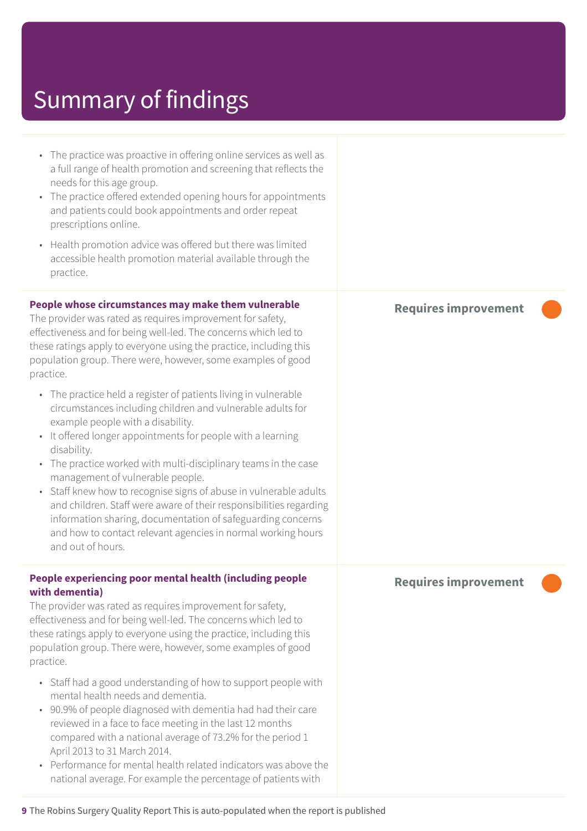| • The practice was proactive in offering online services as well as<br>a full range of health promotion and screening that reflects the<br>needs for this age group.<br>• The practice offered extended opening hours for appointments<br>and patients could book appointments and order repeat<br>prescriptions online.                                                                                                                                                                                                                                                                                                                                                                                                                                                                                                                                                                                                                                                                                                |                             |
|-------------------------------------------------------------------------------------------------------------------------------------------------------------------------------------------------------------------------------------------------------------------------------------------------------------------------------------------------------------------------------------------------------------------------------------------------------------------------------------------------------------------------------------------------------------------------------------------------------------------------------------------------------------------------------------------------------------------------------------------------------------------------------------------------------------------------------------------------------------------------------------------------------------------------------------------------------------------------------------------------------------------------|-----------------------------|
| Health promotion advice was offered but there was limited<br>$\bullet$<br>accessible health promotion material available through the<br>practice.                                                                                                                                                                                                                                                                                                                                                                                                                                                                                                                                                                                                                                                                                                                                                                                                                                                                       |                             |
| People whose circumstances may make them vulnerable<br>The provider was rated as requires improvement for safety,<br>effectiveness and for being well-led. The concerns which led to<br>these ratings apply to everyone using the practice, including this<br>population group. There were, however, some examples of good<br>practice.<br>• The practice held a register of patients living in vulnerable<br>circumstances including children and vulnerable adults for<br>example people with a disability.<br>It offered longer appointments for people with a learning<br>$\bullet$<br>disability.<br>The practice worked with multi-disciplinary teams in the case<br>$\bullet$<br>management of vulnerable people.<br>• Staff knew how to recognise signs of abuse in vulnerable adults<br>and children. Staff were aware of their responsibilities regarding<br>information sharing, documentation of safeguarding concerns<br>and how to contact relevant agencies in normal working hours<br>and out of hours. | <b>Requires improvement</b> |
| People experiencing poor mental health (including people<br>with dementia)<br>The provider was rated as requires improvement for safety,<br>effectiveness and for being well-led. The concerns which led to<br>these ratings apply to everyone using the practice, including this<br>population group. There were, however, some examples of good<br>practice.<br>• Staff had a good understanding of how to support people with<br>mental health needs and dementia.<br>90.9% of people diagnosed with dementia had had their care<br>reviewed in a face to face meeting in the last 12 months<br>compared with a national average of 73.2% for the period 1<br>April 2013 to 31 March 2014.<br>• Performance for mental health related indicators was above the<br>national average. For example the percentage of patients with                                                                                                                                                                                      | <b>Requires improvement</b> |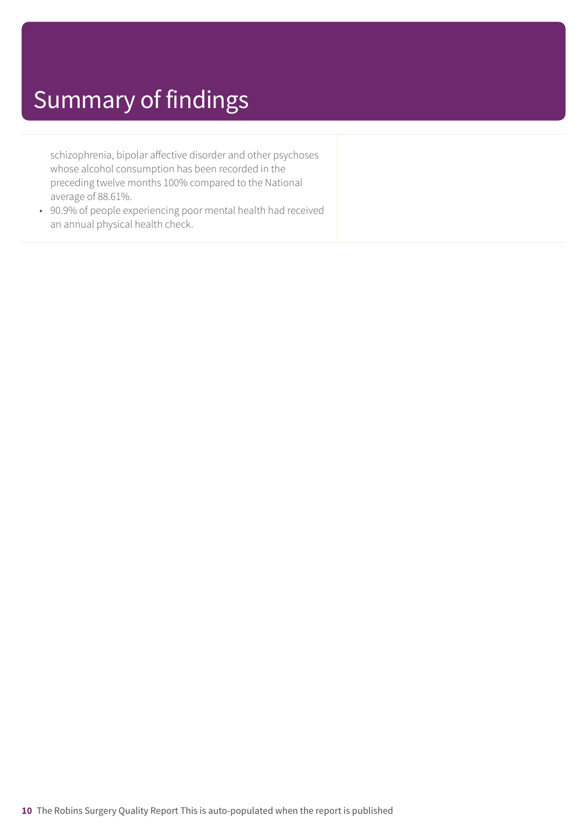schizophrenia, bipolar affective disorder and other psychoses whose alcohol consumption has been recorded in the preceding twelve months 100% compared to the National average of 88.61%.

• 90.9% of people experiencing poor mental health had received an annual physical health check.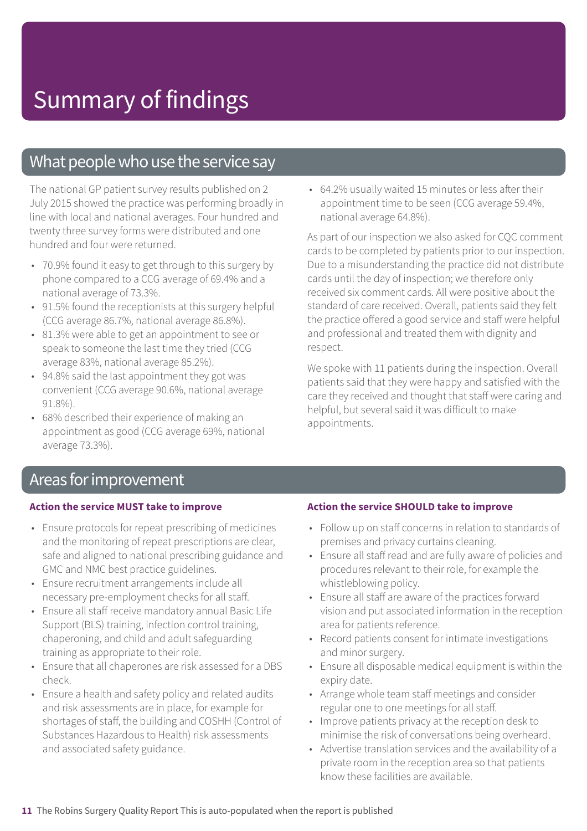### What people who use the service say

The national GP patient survey results published on 2 July 2015 showed the practice was performing broadly in line with local and national averages. Four hundred and twenty three survey forms were distributed and one hundred and four were returned.

- 70.9% found it easy to get through to this surgery by phone compared to a CCG average of 69.4% and a national average of 73.3%.
- 91.5% found the receptionists at this surgery helpful (CCG average 86.7%, national average 86.8%).
- 81.3% were able to get an appointment to see or speak to someone the last time they tried (CCG average 83%, national average 85.2%).
- 94.8% said the last appointment they got was convenient (CCG average 90.6%, national average 91.8%).
- 68% described their experience of making an appointment as good (CCG average 69%, national average 73.3%).

• 64.2% usually waited 15 minutes or less after their appointment time to be seen (CCG average 59.4%, national average 64.8%).

As part of our inspection we also asked for CQC comment cards to be completed by patients prior to our inspection. Due to a misunderstanding the practice did not distribute cards until the day of inspection; we therefore only received six comment cards. All were positive about the standard of care received. Overall, patients said they felt the practice offered a good service and staff were helpful and professional and treated them with dignity and respect.

We spoke with 11 patients during the inspection. Overall patients said that they were happy and satisfied with the care they received and thought that staff were caring and helpful, but several said it was difficult to make appointments.

### Areas forimprovement

#### **Action the service MUST take to improve**

- Ensure protocols for repeat prescribing of medicines and the monitoring of repeat prescriptions are clear, safe and aligned to national prescribing guidance and GMC and NMC best practice guidelines.
- Ensure recruitment arrangements include all necessary pre-employment checks for all staff.
- Ensure all staff receive mandatory annual Basic Life Support (BLS) training, infection control training, chaperoning, and child and adult safeguarding training as appropriate to their role.
- Ensure that all chaperones are risk assessed for a DBS check.
- Ensure a health and safety policy and related audits and risk assessments are in place, for example for shortages of staff, the building and COSHH (Control of Substances Hazardous to Health) risk assessments and associated safety guidance.

#### **Action the service SHOULD take to improve**

- Follow up on staff concerns in relation to standards of premises and privacy curtains cleaning.
- Ensure all staff read and are fully aware of policies and procedures relevant to their role, for example the whistleblowing policy.
- Ensure all staff are aware of the practices forward vision and put associated information in the reception area for patients reference.
- Record patients consent for intimate investigations and minor surgery.
- Ensure all disposable medical equipment is within the expiry date.
- Arrange whole team staff meetings and consider regular one to one meetings for all staff.
- Improve patients privacy at the reception desk to minimise the risk of conversations being overheard.
- Advertise translation services and the availability of a private room in the reception area so that patients know these facilities are available.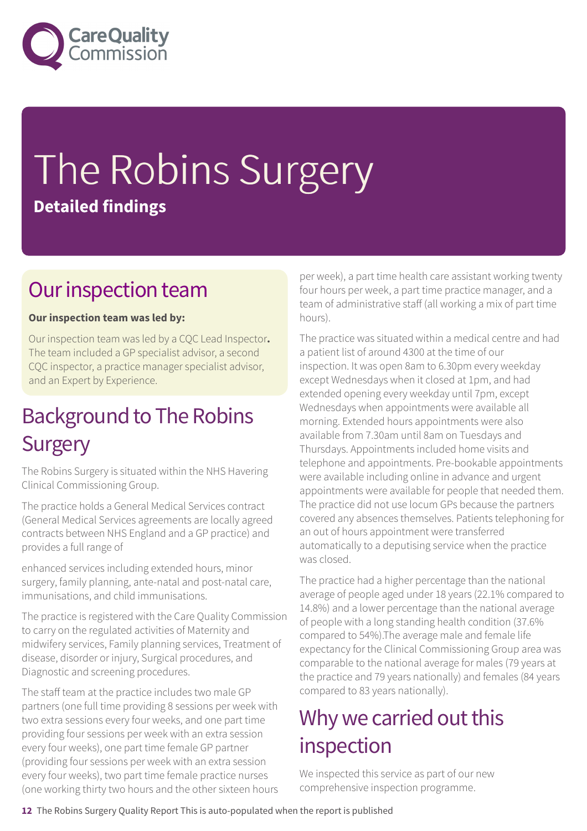

# The Robins Surgery **Detailed findings**

### Our inspection team

#### **Our inspection team was led by:**

Our inspection team was led by a CQC Lead Inspector**.** The team included a GP specialist advisor, a second CQC inspector, a practice manager specialist advisor, and an Expert by Experience.

### **Background to The Robins Surgery**

The Robins Surgery is situated within the NHS Havering Clinical Commissioning Group.

The practice holds a General Medical Services contract (General Medical Services agreements are locally agreed contracts between NHS England and a GP practice) and provides a full range of

enhanced services including extended hours, minor surgery, family planning, ante-natal and post-natal care, immunisations, and child immunisations.

The practice is registered with the Care Quality Commission to carry on the regulated activities of Maternity and midwifery services, Family planning services, Treatment of disease, disorder or injury, Surgical procedures, and Diagnostic and screening procedures.

The staff team at the practice includes two male GP partners (one full time providing 8 sessions per week with two extra sessions every four weeks, and one part time providing four sessions per week with an extra session every four weeks), one part time female GP partner (providing four sessions per week with an extra session every four weeks), two part time female practice nurses (one working thirty two hours and the other sixteen hours per week), a part time health care assistant working twenty four hours per week, a part time practice manager, and a team of administrative staff (all working a mix of part time hours).

The practice was situated within a medical centre and had a patient list of around 4300 at the time of our inspection. It was open 8am to 6.30pm every weekday except Wednesdays when it closed at 1pm, and had extended opening every weekday until 7pm, except Wednesdays when appointments were available all morning. Extended hours appointments were also available from 7.30am until 8am on Tuesdays and Thursdays. Appointments included home visits and telephone and appointments. Pre-bookable appointments were available including online in advance and urgent appointments were available for people that needed them. The practice did not use locum GPs because the partners covered any absences themselves. Patients telephoning for an out of hours appointment were transferred automatically to a deputising service when the practice was closed.

The practice had a higher percentage than the national average of people aged under 18 years (22.1% compared to 14.8%) and a lower percentage than the national average of people with a long standing health condition (37.6% compared to 54%).The average male and female life expectancy for the Clinical Commissioning Group area was comparable to the national average for males (79 years at the practice and 79 years nationally) and females (84 years compared to 83 years nationally).

### Why we carried out this inspection

We inspected this service as part of our new comprehensive inspection programme.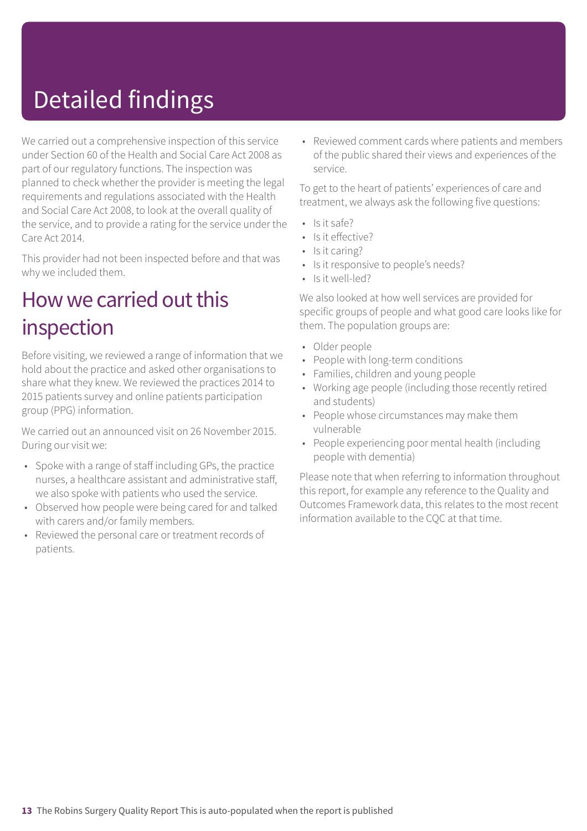# Detailed findings

We carried out a comprehensive inspection of this service under Section 60 of the Health and Social Care Act 2008 as part of our regulatory functions. The inspection was planned to check whether the provider is meeting the legal requirements and regulations associated with the Health and Social Care Act 2008, to look at the overall quality of the service, and to provide a rating for the service under the Care Act 2014.

This provider had not been inspected before and that was why we included them.

### How we carried out this inspection

Before visiting, we reviewed a range of information that we hold about the practice and asked other organisations to share what they knew. We reviewed the practices 2014 to 2015 patients survey and online patients participation group (PPG) information.

We carried out an announced visit on 26 November 2015. During our visit we:

- Spoke with a range of staff including GPs, the practice nurses, a healthcare assistant and administrative staff, we also spoke with patients who used the service.
- Observed how people were being cared for and talked with carers and/or family members.
- Reviewed the personal care or treatment records of patients.

• Reviewed comment cards where patients and members of the public shared their views and experiences of the service.

To get to the heart of patients' experiences of care and treatment, we always ask the following five questions:

- Is it safe?
- Is it effective?
- Is it caring?
- Is it responsive to people's needs?
- Is it well-led?

We also looked at how well services are provided for specific groups of people and what good care looks like for them. The population groups are:

- Older people
- People with long-term conditions
- Families, children and young people
- Working age people (including those recently retired and students)
- People whose circumstances may make them vulnerable
- People experiencing poor mental health (including people with dementia)

Please note that when referring to information throughout this report, for example any reference to the Quality and Outcomes Framework data, this relates to the most recent information available to the CQC at that time.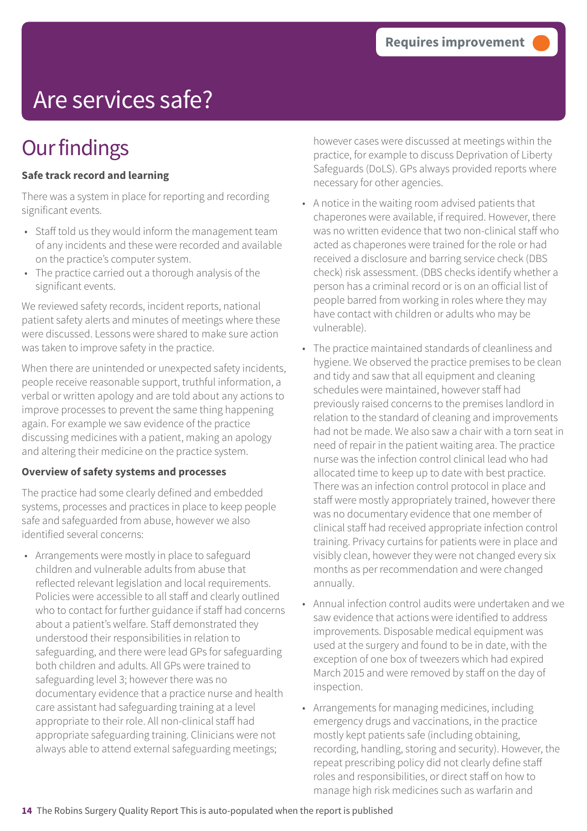# Are services safe?

### **Our findings**

#### **Safe track record and learning**

There was a system in place for reporting and recording significant events.

- Staff told us they would inform the management team of any incidents and these were recorded and available on the practice's computer system.
- The practice carried out a thorough analysis of the significant events.

We reviewed safety records, incident reports, national patient safety alerts and minutes of meetings where these were discussed. Lessons were shared to make sure action was taken to improve safety in the practice.

When there are unintended or unexpected safety incidents, people receive reasonable support, truthful information, a verbal or written apology and are told about any actions to improve processes to prevent the same thing happening again. For example we saw evidence of the practice discussing medicines with a patient, making an apology and altering their medicine on the practice system.

#### **Overview of safety systems and processes**

The practice had some clearly defined and embedded systems, processes and practices in place to keep people safe and safeguarded from abuse, however we also identified several concerns:

• Arrangements were mostly in place to safeguard children and vulnerable adults from abuse that reflected relevant legislation and local requirements. Policies were accessible to all staff and clearly outlined who to contact for further guidance if staff had concerns about a patient's welfare. Staff demonstrated they understood their responsibilities in relation to safeguarding, and there were lead GPs for safeguarding both children and adults. All GPs were trained to safeguarding level 3; however there was no documentary evidence that a practice nurse and health care assistant had safeguarding training at a level appropriate to their role. All non-clinical staff had appropriate safeguarding training. Clinicians were not always able to attend external safeguarding meetings;

however cases were discussed at meetings within the practice, for example to discuss Deprivation of Liberty Safeguards (DoLS). GPs always provided reports where necessary for other agencies.

- A notice in the waiting room advised patients that chaperones were available, if required. However, there was no written evidence that two non-clinical staff who acted as chaperones were trained for the role or had received a disclosure and barring service check (DBS check) risk assessment. (DBS checks identify whether a person has a criminal record or is on an official list of people barred from working in roles where they may have contact with children or adults who may be vulnerable).
- The practice maintained standards of cleanliness and hygiene. We observed the practice premises to be clean and tidy and saw that all equipment and cleaning schedules were maintained, however staff had previously raised concerns to the premises landlord in relation to the standard of cleaning and improvements had not be made. We also saw a chair with a torn seat in need of repair in the patient waiting area. The practice nurse was the infection control clinical lead who had allocated time to keep up to date with best practice. There was an infection control protocol in place and staff were mostly appropriately trained, however there was no documentary evidence that one member of clinical staff had received appropriate infection control training. Privacy curtains for patients were in place and visibly clean, however they were not changed every six months as per recommendation and were changed annually.
- Annual infection control audits were undertaken and we saw evidence that actions were identified to address improvements. Disposable medical equipment was used at the surgery and found to be in date, with the exception of one box of tweezers which had expired March 2015 and were removed by staff on the day of inspection.
- Arrangements for managing medicines, including emergency drugs and vaccinations, in the practice mostly kept patients safe (including obtaining, recording, handling, storing and security). However, the repeat prescribing policy did not clearly define staff roles and responsibilities, or direct staff on how to manage high risk medicines such as warfarin and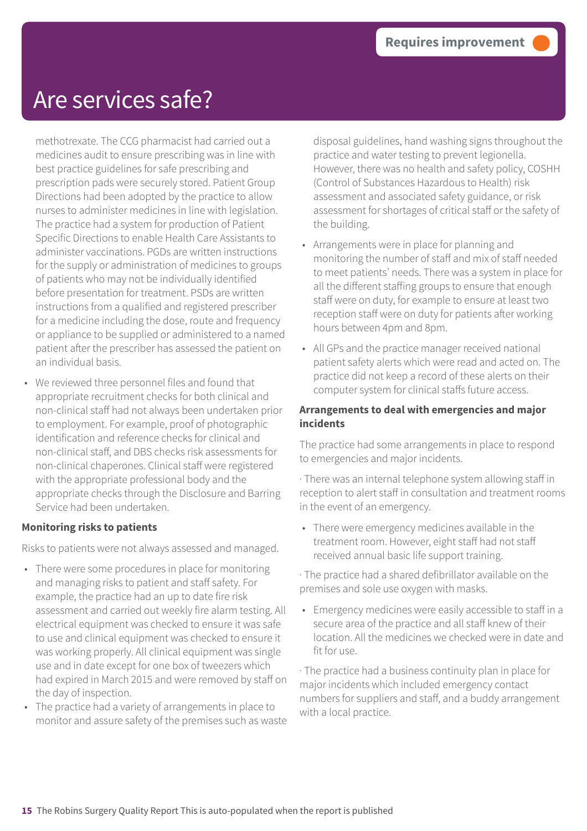### Are services safe?

methotrexate. The CCG pharmacist had carried out a medicines audit to ensure prescribing was in line with best practice guidelines for safe prescribing and prescription pads were securely stored. Patient Group Directions had been adopted by the practice to allow nurses to administer medicines in line with legislation. The practice had a system for production of Patient Specific Directions to enable Health Care Assistants to administer vaccinations. PGDs are written instructions for the supply or administration of medicines to groups of patients who may not be individually identified before presentation for treatment. PSDs are written instructions from a qualified and registered prescriber for a medicine including the dose, route and frequency or appliance to be supplied or administered to a named patient after the prescriber has assessed the patient on an individual basis.

• We reviewed three personnel files and found that appropriate recruitment checks for both clinical and non-clinical staff had not always been undertaken prior to employment. For example, proof of photographic identification and reference checks for clinical and non-clinical staff, and DBS checks risk assessments for non-clinical chaperones. Clinical staff were registered with the appropriate professional body and the appropriate checks through the Disclosure and Barring Service had been undertaken.

#### **Monitoring risks to patients**

Risks to patients were not always assessed and managed.

- There were some procedures in place for monitoring and managing risks to patient and staff safety. For example, the practice had an up to date fire risk assessment and carried out weekly fire alarm testing. All electrical equipment was checked to ensure it was safe to use and clinical equipment was checked to ensure it was working properly. All clinical equipment was single use and in date except for one box of tweezers which had expired in March 2015 and were removed by staff on the day of inspection.
- The practice had a variety of arrangements in place to monitor and assure safety of the premises such as waste

disposal guidelines, hand washing signs throughout the practice and water testing to prevent legionella. However, there was no health and safety policy, COSHH (Control of Substances Hazardous to Health) risk assessment and associated safety guidance, or risk assessment for shortages of critical staff or the safety of the building.

- Arrangements were in place for planning and monitoring the number of staff and mix of staff needed to meet patients' needs. There was a system in place for all the different staffing groups to ensure that enough staff were on duty, for example to ensure at least two reception staff were on duty for patients after working hours between 4pm and 8pm.
- All GPs and the practice manager received national patient safety alerts which were read and acted on. The practice did not keep a record of these alerts on their computer system for clinical staffs future access.

#### **Arrangements to deal with emergencies and major incidents**

The practice had some arrangements in place to respond to emergencies and major incidents.

· There was an internal telephone system allowing staff in reception to alert staff in consultation and treatment rooms in the event of an emergency.

• There were emergency medicines available in the treatment room. However, eight staff had not staff received annual basic life support training.

· The practice had a shared defibrillator available on the premises and sole use oxygen with masks.

• Emergency medicines were easily accessible to staff in a secure area of the practice and all staff knew of their location. All the medicines we checked were in date and fit for use.

· The practice had a business continuity plan in place for major incidents which included emergency contact numbers for suppliers and staff, and a buddy arrangement with a local practice.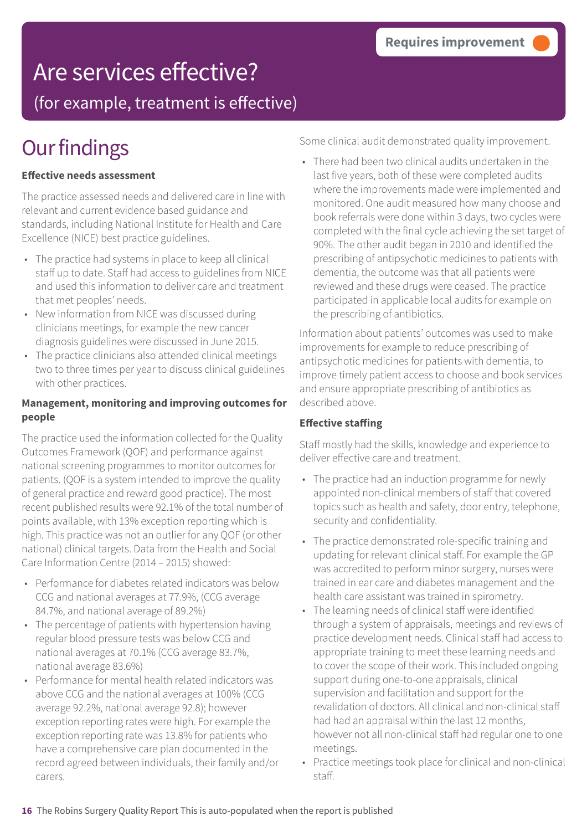### Are services effective?

(for example, treatment is effective)

### **Our findings**

#### **Effective needs assessment**

The practice assessed needs and delivered care in line with relevant and current evidence based guidance and standards, including National Institute for Health and Care Excellence (NICE) best practice guidelines.

- The practice had systems in place to keep all clinical staff up to date. Staff had access to guidelines from NICE and used this information to deliver care and treatment that met peoples' needs.
- New information from NICE was discussed during clinicians meetings, for example the new cancer diagnosis guidelines were discussed in June 2015.
- The practice clinicians also attended clinical meetings two to three times per year to discuss clinical guidelines with other practices.

#### **Management, monitoring and improving outcomes for people**

The practice used the information collected for the Quality Outcomes Framework (QOF) and performance against national screening programmes to monitor outcomes for patients. (QOF is a system intended to improve the quality of general practice and reward good practice). The most recent published results were 92.1% of the total number of points available, with 13% exception reporting which is high. This practice was not an outlier for any QOF (or other national) clinical targets. Data from the Health and Social Care Information Centre (2014 – 2015) showed:

- Performance for diabetes related indicators was below CCG and national averages at 77.9%, (CCG average 84.7%, and national average of 89.2%)
- The percentage of patients with hypertension having regular blood pressure tests was below CCG and national averages at 70.1% (CCG average 83.7%, national average 83.6%)
- Performance for mental health related indicators was above CCG and the national averages at 100% (CCG average 92.2%, national average 92.8); however exception reporting rates were high. For example the exception reporting rate was 13.8% for patients who have a comprehensive care plan documented in the record agreed between individuals, their family and/or carers.

Some clinical audit demonstrated quality improvement.

• There had been two clinical audits undertaken in the last five years, both of these were completed audits where the improvements made were implemented and monitored. One audit measured how many choose and book referrals were done within 3 days, two cycles were completed with the final cycle achieving the set target of 90%. The other audit began in 2010 and identified the prescribing of antipsychotic medicines to patients with dementia, the outcome was that all patients were reviewed and these drugs were ceased. The practice participated in applicable local audits for example on the prescribing of antibiotics.

Information about patients' outcomes was used to make improvements for example to reduce prescribing of antipsychotic medicines for patients with dementia, to improve timely patient access to choose and book services and ensure appropriate prescribing of antibiotics as described above.

### **Effective staffing**

Staff mostly had the skills, knowledge and experience to deliver effective care and treatment.

- The practice had an induction programme for newly appointed non-clinical members of staff that covered topics such as health and safety, door entry, telephone, security and confidentiality.
- The practice demonstrated role-specific training and updating for relevant clinical staff. For example the GP was accredited to perform minor surgery, nurses were trained in ear care and diabetes management and the health care assistant was trained in spirometry.
- The learning needs of clinical staff were identified through a system of appraisals, meetings and reviews of practice development needs. Clinical staff had access to appropriate training to meet these learning needs and to cover the scope of their work. This included ongoing support during one-to-one appraisals, clinical supervision and facilitation and support for the revalidation of doctors. All clinical and non-clinical staff had had an appraisal within the last 12 months, however not all non-clinical staff had regular one to one meetings.
- Practice meetings took place for clinical and non-clinical staff.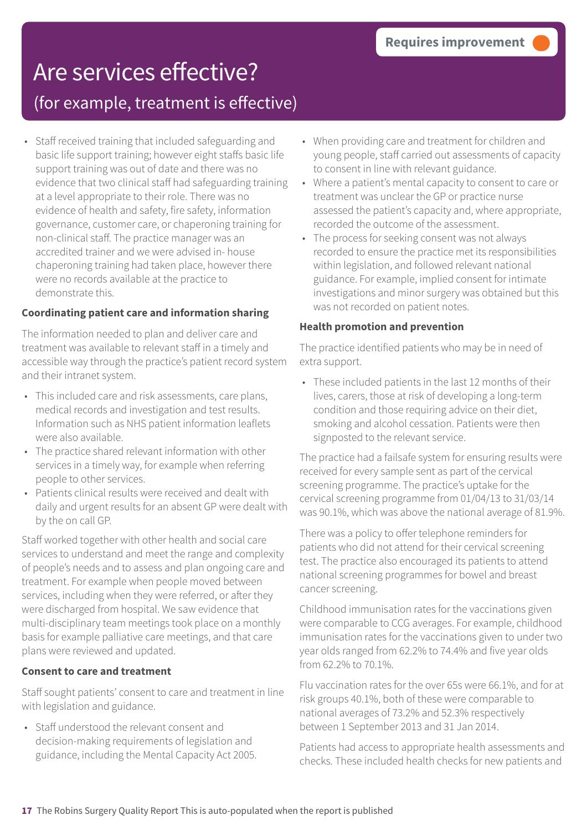# Are services effective?

### (for example, treatment is effective)

• Staff received training that included safeguarding and basic life support training; however eight staffs basic life support training was out of date and there was no evidence that two clinical staff had safeguarding training at a level appropriate to their role. There was no evidence of health and safety, fire safety, information governance, customer care, or chaperoning training for non-clinical staff. The practice manager was an accredited trainer and we were advised in- house chaperoning training had taken place, however there were no records available at the practice to demonstrate this.

#### **Coordinating patient care and information sharing**

The information needed to plan and deliver care and treatment was available to relevant staff in a timely and accessible way through the practice's patient record system and their intranet system.

- This included care and risk assessments, care plans, medical records and investigation and test results. Information such as NHS patient information leaflets were also available.
- The practice shared relevant information with other services in a timely way, for example when referring people to other services.
- Patients clinical results were received and dealt with daily and urgent results for an absent GP were dealt with by the on call GP.

Staff worked together with other health and social care services to understand and meet the range and complexity of people's needs and to assess and plan ongoing care and treatment. For example when people moved between services, including when they were referred, or after they were discharged from hospital. We saw evidence that multi-disciplinary team meetings took place on a monthly basis for example palliative care meetings, and that care plans were reviewed and updated.

#### **Consent to care and treatment**

Staff sought patients' consent to care and treatment in line with legislation and guidance.

• Staff understood the relevant consent and decision-making requirements of legislation and guidance, including the Mental Capacity Act 2005.

- When providing care and treatment for children and young people, staff carried out assessments of capacity to consent in line with relevant guidance.
- Where a patient's mental capacity to consent to care or treatment was unclear the GP or practice nurse assessed the patient's capacity and, where appropriate, recorded the outcome of the assessment.
- The process for seeking consent was not always recorded to ensure the practice met its responsibilities within legislation, and followed relevant national guidance. For example, implied consent for intimate investigations and minor surgery was obtained but this was not recorded on patient notes.

#### **Health promotion and prevention**

The practice identified patients who may be in need of extra support.

• These included patients in the last 12 months of their lives, carers, those at risk of developing a long-term condition and those requiring advice on their diet, smoking and alcohol cessation. Patients were then signposted to the relevant service.

The practice had a failsafe system for ensuring results were received for every sample sent as part of the cervical screening programme. The practice's uptake for the cervical screening programme from 01/04/13 to 31/03/14 was 90.1%, which was above the national average of 81.9%.

There was a policy to offer telephone reminders for patients who did not attend for their cervical screening test. The practice also encouraged its patients to attend national screening programmes for bowel and breast cancer screening.

Childhood immunisation rates for the vaccinations given were comparable to CCG averages. For example, childhood immunisation rates for the vaccinations given to under two year olds ranged from 62.2% to 74.4% and five year olds from 62.2% to 70.1%.

Flu vaccination rates for the over 65s were 66.1%, and for at risk groups 40.1%, both of these were comparable to national averages of 73.2% and 52.3% respectively between 1 September 2013 and 31 Jan 2014.

Patients had access to appropriate health assessments and checks. These included health checks for new patients and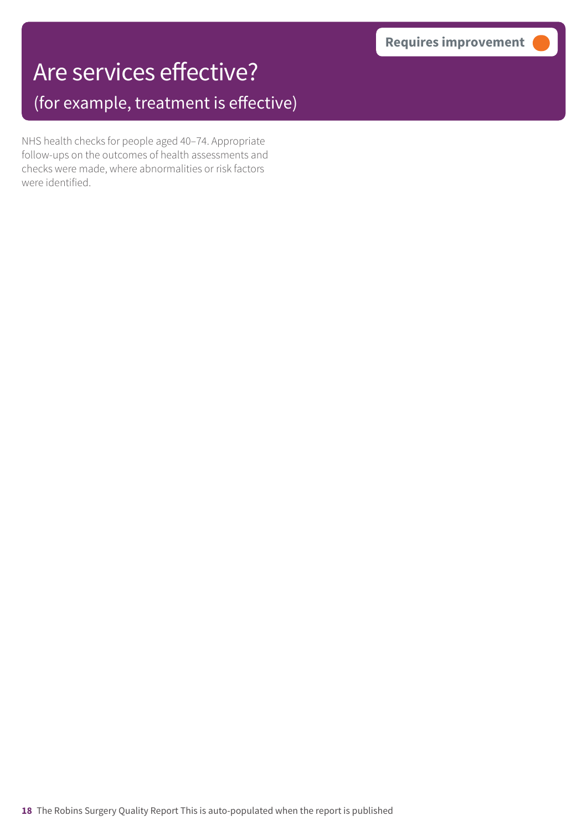# Are services effective?

(for example, treatment is effective)

NHS health checks for people aged 40–74. Appropriate follow-ups on the outcomes of health assessments and checks were made, where abnormalities or risk factors were identified.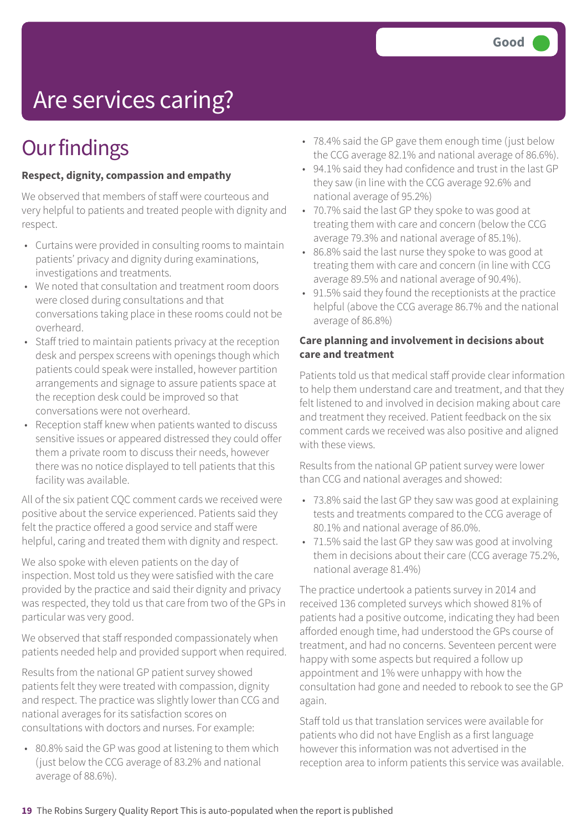# Are services caring?

### **Our findings**

#### **Respect, dignity, compassion and empathy**

We observed that members of staff were courteous and very helpful to patients and treated people with dignity and respect.

- Curtains were provided in consulting rooms to maintain patients' privacy and dignity during examinations, investigations and treatments.
- We noted that consultation and treatment room doors were closed during consultations and that conversations taking place in these rooms could not be overheard.
- Staff tried to maintain patients privacy at the reception desk and perspex screens with openings though which patients could speak were installed, however partition arrangements and signage to assure patients space at the reception desk could be improved so that conversations were not overheard.
- Reception staff knew when patients wanted to discuss sensitive issues or appeared distressed they could offer them a private room to discuss their needs, however there was no notice displayed to tell patients that this facility was available.

All of the six patient CQC comment cards we received were positive about the service experienced. Patients said they felt the practice offered a good service and staff were helpful, caring and treated them with dignity and respect.

We also spoke with eleven patients on the day of inspection. Most told us they were satisfied with the care provided by the practice and said their dignity and privacy was respected, they told us that care from two of the GPs in particular was very good.

We observed that staff responded compassionately when patients needed help and provided support when required.

Results from the national GP patient survey showed patients felt they were treated with compassion, dignity and respect. The practice was slightly lower than CCG and national averages for its satisfaction scores on consultations with doctors and nurses. For example:

• 80.8% said the GP was good at listening to them which (just below the CCG average of 83.2% and national average of 88.6%).

- 78.4% said the GP gave them enough time (just below the CCG average 82.1% and national average of 86.6%).
- 94.1% said they had confidence and trust in the last GP they saw (in line with the CCG average 92.6% and national average of 95.2%)
- 70.7% said the last GP they spoke to was good at treating them with care and concern (below the CCG average 79.3% and national average of 85.1%).
- 86.8% said the last nurse they spoke to was good at treating them with care and concern (in line with CCG average 89.5% and national average of 90.4%).
- 91.5% said they found the receptionists at the practice helpful (above the CCG average 86.7% and the national average of 86.8%)

#### **Care planning and involvement in decisions about care and treatment**

Patients told us that medical staff provide clear information to help them understand care and treatment, and that they felt listened to and involved in decision making about care and treatment they received. Patient feedback on the six comment cards we received was also positive and aligned with these views.

Results from the national GP patient survey were lower than CCG and national averages and showed:

- 73.8% said the last GP they saw was good at explaining tests and treatments compared to the CCG average of 80.1% and national average of 86.0%.
- 71.5% said the last GP they saw was good at involving them in decisions about their care (CCG average 75.2%, national average 81.4%)

The practice undertook a patients survey in 2014 and received 136 completed surveys which showed 81% of patients had a positive outcome, indicating they had been afforded enough time, had understood the GPs course of treatment, and had no concerns. Seventeen percent were happy with some aspects but required a follow up appointment and 1% were unhappy with how the consultation had gone and needed to rebook to see the GP again.

Staff told us that translation services were available for patients who did not have English as a first language however this information was not advertised in the reception area to inform patients this service was available.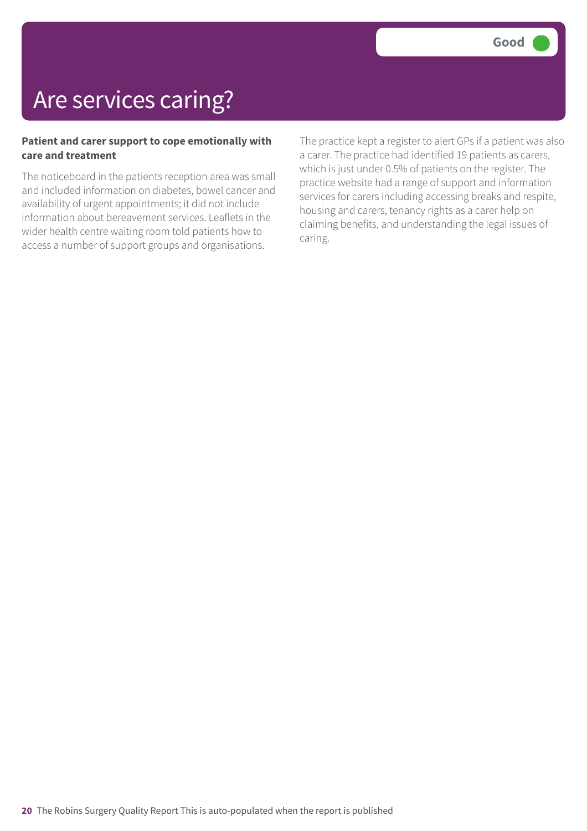### Are services caring?

#### **Patient and carer support to cope emotionally with care and treatment**

The noticeboard in the patients reception area was small and included information on diabetes, bowel cancer and availability of urgent appointments; it did not include information about bereavement services. Leaflets in the wider health centre waiting room told patients how to access a number of support groups and organisations.

The practice kept a register to alert GPs if a patient was also a carer. The practice had identified 19 patients as carers, which is just under 0.5% of patients on the register. The practice website had a range of support and information services for carers including accessing breaks and respite, housing and carers, tenancy rights as a carer help on claiming benefits, and understanding the legal issues of caring.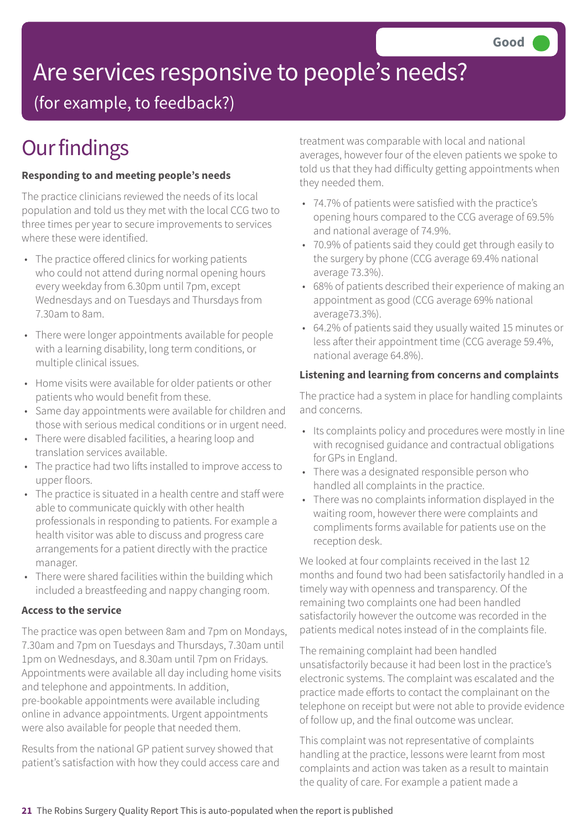# Are services responsive to people's needs?

(for example, to feedback?)

# **Our findings**

### **Responding to and meeting people's needs**

The practice clinicians reviewed the needs of its local population and told us they met with the local CCG two to three times per year to secure improvements to services where these were identified.

- The practice offered clinics for working patients who could not attend during normal opening hours every weekday from 6.30pm until 7pm, except Wednesdays and on Tuesdays and Thursdays from 7.30am to 8am.
- There were longer appointments available for people with a learning disability, long term conditions, or multiple clinical issues.
- Home visits were available for older patients or other patients who would benefit from these.
- Same day appointments were available for children and those with serious medical conditions or in urgent need.
- There were disabled facilities, a hearing loop and translation services available.
- The practice had two lifts installed to improve access to upper floors.
- The practice is situated in a health centre and staff were able to communicate quickly with other health professionals in responding to patients. For example a health visitor was able to discuss and progress care arrangements for a patient directly with the practice manager.
- There were shared facilities within the building which included a breastfeeding and nappy changing room.

### **Access to the service**

The practice was open between 8am and 7pm on Mondays, 7.30am and 7pm on Tuesdays and Thursdays, 7.30am until 1pm on Wednesdays, and 8.30am until 7pm on Fridays. Appointments were available all day including home visits and telephone and appointments. In addition, pre-bookable appointments were available including online in advance appointments. Urgent appointments were also available for people that needed them.

Results from the national GP patient survey showed that patient's satisfaction with how they could access care and treatment was comparable with local and national averages, however four of the eleven patients we spoke to told us that they had difficulty getting appointments when they needed them.

- 74.7% of patients were satisfied with the practice's opening hours compared to the CCG average of 69.5% and national average of 74.9%.
- 70.9% of patients said they could get through easily to the surgery by phone (CCG average 69.4% national average 73.3%).
- 68% of patients described their experience of making an appointment as good (CCG average 69% national average73.3%).
- 64.2% of patients said they usually waited 15 minutes or less after their appointment time (CCG average 59.4%, national average 64.8%).

### **Listening and learning from concerns and complaints**

The practice had a system in place for handling complaints and concerns.

- Its complaints policy and procedures were mostly in line with recognised guidance and contractual obligations for GPs in England.
- There was a designated responsible person who handled all complaints in the practice.
- There was no complaints information displayed in the waiting room, however there were complaints and compliments forms available for patients use on the reception desk.

We looked at four complaints received in the last 12 months and found two had been satisfactorily handled in a timely way with openness and transparency. Of the remaining two complaints one had been handled satisfactorily however the outcome was recorded in the patients medical notes instead of in the complaints file.

The remaining complaint had been handled unsatisfactorily because it had been lost in the practice's electronic systems. The complaint was escalated and the practice made efforts to contact the complainant on the telephone on receipt but were not able to provide evidence of follow up, and the final outcome was unclear.

This complaint was not representative of complaints handling at the practice, lessons were learnt from most complaints and action was taken as a result to maintain the quality of care. For example a patient made a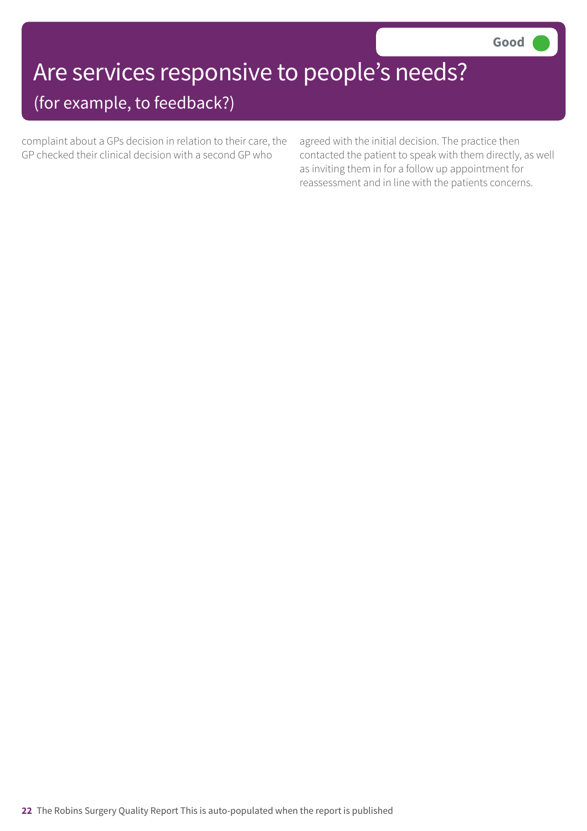# Are services responsive to people's needs?

### (for example, to feedback?)

complaint about a GPs decision in relation to their care, the GP checked their clinical decision with a second GP who

agreed with the initial decision. The practice then contacted the patient to speak with them directly, as well as inviting them in for a follow up appointment for reassessment and in line with the patients concerns.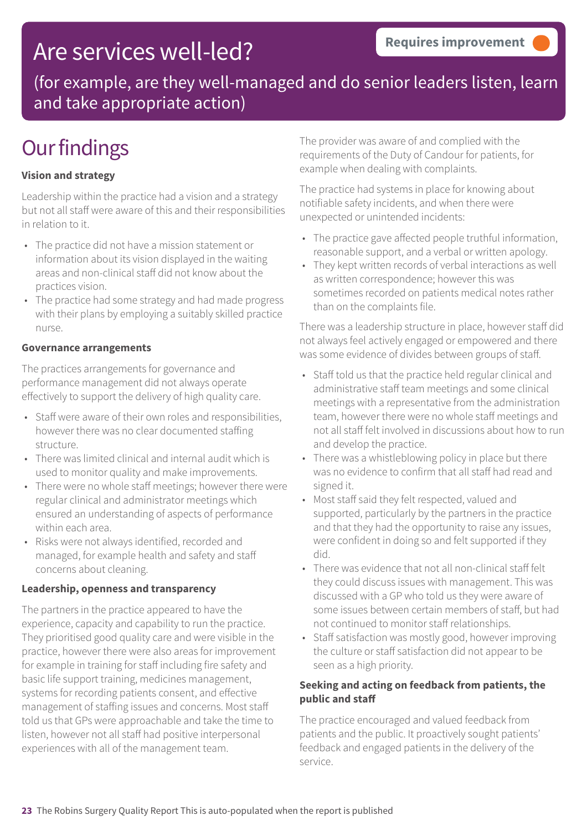### Are services well-led?

(for example, are they well-managed and do senior leaders listen, learn and take appropriate action)

### **Our findings**

#### **Vision and strategy**

Leadership within the practice had a vision and a strategy but not all staff were aware of this and their responsibilities in relation to it.

- The practice did not have a mission statement or information about its vision displayed in the waiting areas and non-clinical staff did not know about the practices vision.
- The practice had some strategy and had made progress with their plans by employing a suitably skilled practice nurse.

#### **Governance arrangements**

The practices arrangements for governance and performance management did not always operate effectively to support the delivery of high quality care.

- Staff were aware of their own roles and responsibilities, however there was no clear documented staffing structure.
- There was limited clinical and internal audit which is used to monitor quality and make improvements.
- There were no whole staff meetings; however there were regular clinical and administrator meetings which ensured an understanding of aspects of performance within each area.
- Risks were not always identified, recorded and managed, for example health and safety and staff concerns about cleaning.

#### **Leadership, openness and transparency**

The partners in the practice appeared to have the experience, capacity and capability to run the practice. They prioritised good quality care and were visible in the practice, however there were also areas for improvement for example in training for staff including fire safety and basic life support training, medicines management, systems for recording patients consent, and effective management of staffing issues and concerns. Most staff told us that GPs were approachable and take the time to listen, however not all staff had positive interpersonal experiences with all of the management team.

The provider was aware of and complied with the requirements of the Duty of Candour for patients, for example when dealing with complaints.

The practice had systems in place for knowing about notifiable safety incidents, and when there were unexpected or unintended incidents:

- The practice gave affected people truthful information, reasonable support, and a verbal or written apology.
- They kept written records of verbal interactions as well as written correspondence; however this was sometimes recorded on patients medical notes rather than on the complaints file.

There was a leadership structure in place, however staff did not always feel actively engaged or empowered and there was some evidence of divides between groups of staff.

- Staff told us that the practice held regular clinical and administrative staff team meetings and some clinical meetings with a representative from the administration team, however there were no whole staff meetings and not all staff felt involved in discussions about how to run and develop the practice.
- There was a whistleblowing policy in place but there was no evidence to confirm that all staff had read and signed it.
- Most staff said they felt respected, valued and supported, particularly by the partners in the practice and that they had the opportunity to raise any issues, were confident in doing so and felt supported if they did.
- There was evidence that not all non-clinical staff felt they could discuss issues with management. This was discussed with a GP who told us they were aware of some issues between certain members of staff, but had not continued to monitor staff relationships.
- Staff satisfaction was mostly good, however improving the culture or staff satisfaction did not appear to be seen as a high priority.

#### **Seeking and acting on feedback from patients, the public and staff**

The practice encouraged and valued feedback from patients and the public. It proactively sought patients' feedback and engaged patients in the delivery of the service.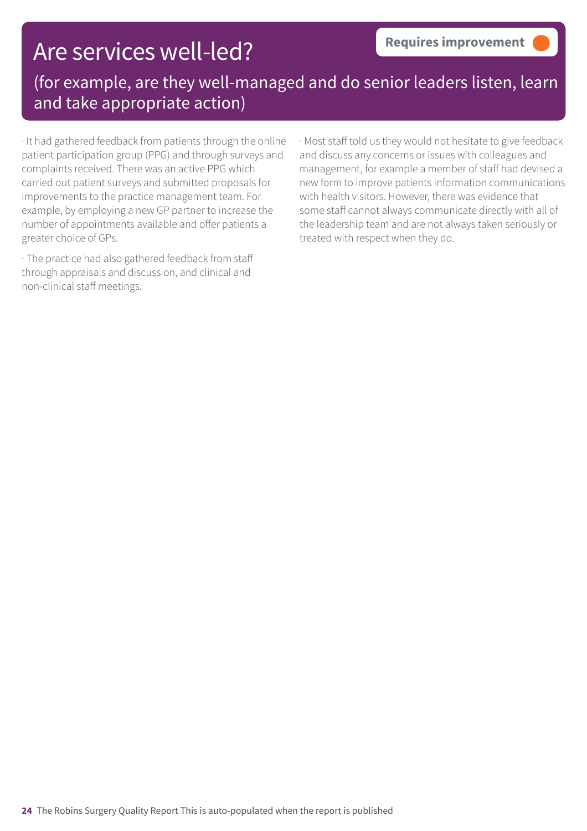### Are services well-led?

(for example, are they well-managed and do senior leaders listen, learn and take appropriate action)

· It had gathered feedback from patients through the online patient participation group (PPG) and through surveys and complaints received. There was an active PPG which carried out patient surveys and submitted proposals for improvements to the practice management team. For example, by employing a new GP partner to increase the number of appointments available and offer patients a greater choice of GPs.

· The practice had also gathered feedback from staff through appraisals and discussion, and clinical and non-clinical staff meetings.

· Most staff told us they would not hesitate to give feedback and discuss any concerns or issues with colleagues and management, for example a member of staff had devised a new form to improve patients information communications with health visitors. However, there was evidence that some staff cannot always communicate directly with all of the leadership team and are not always taken seriously or treated with respect when they do.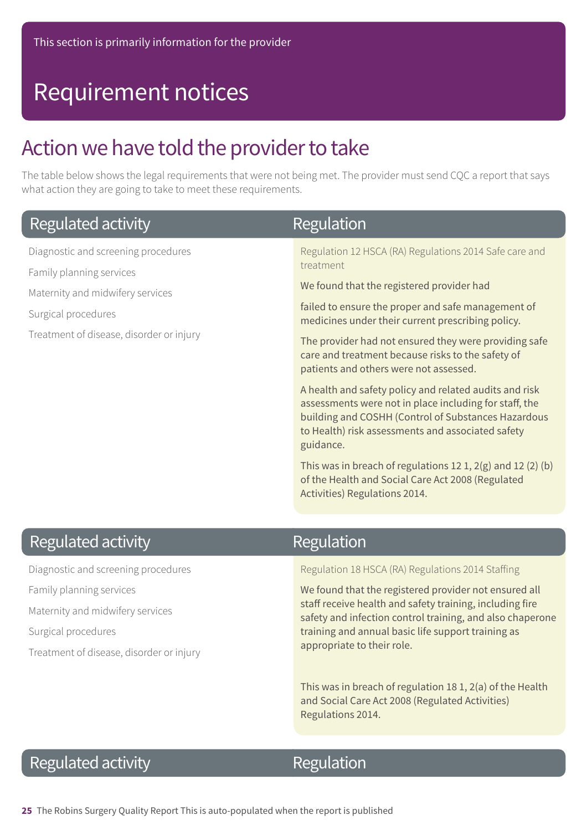### Requirement notices

### Action we have told the provider to take

The table below shows the legal requirements that were not being met. The provider must send CQC a report that says what action they are going to take to meet these requirements.

| Regulated activity                       | Regulation                                                                                                                                                                                                                                |
|------------------------------------------|-------------------------------------------------------------------------------------------------------------------------------------------------------------------------------------------------------------------------------------------|
| Diagnostic and screening procedures      | Regulation 12 HSCA (RA) Regulations 2014 Safe care and                                                                                                                                                                                    |
| Family planning services                 | treatment                                                                                                                                                                                                                                 |
| Maternity and midwifery services         | We found that the registered provider had                                                                                                                                                                                                 |
| Surgical procedures                      | failed to ensure the proper and safe management of<br>medicines under their current prescribing policy.                                                                                                                                   |
| Treatment of disease, disorder or injury | The provider had not ensured they were providing safe<br>care and treatment because risks to the safety of<br>patients and others were not assessed.                                                                                      |
|                                          | A health and safety policy and related audits and risk<br>assessments were not in place including for staff, the<br>building and COSHH (Control of Substances Hazardous<br>to Health) risk assessments and associated safety<br>guidance. |
|                                          | This was in breach of regulations 12 1, $2(g)$ and 12 (2) (b)<br>of the Health and Social Care Act 2008 (Regulated<br>Activities) Regulations 2014.                                                                                       |

### **Regulated activity**

Diagnostic and screening procedures Family planning services Maternity and midwifery services Surgical procedures Treatment of disease, disorder or injury

### Regulation

Regulation 18 HSCA (RA) Regulations 2014 Staffing

We found that the registered provider not ensured all staff receive health and safety training, including fire safety and infection control training, and also chaperone training and annual basic life support training as appropriate to their role.

This was in breach of regulation 18 1, 2(a) of the Health and Social Care Act 2008 (Regulated Activities) Regulations 2014.

### **Regulated activity**

### Regulation